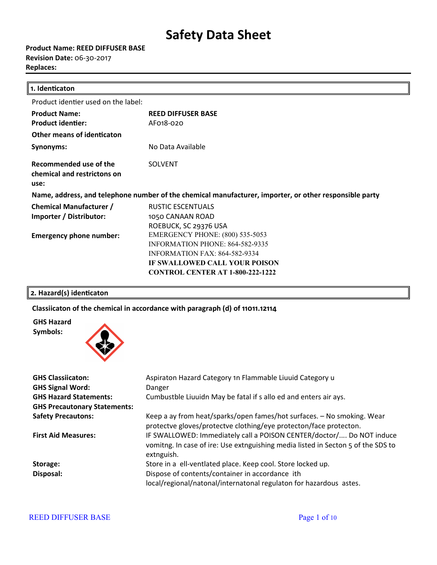**Product Name: REED DIFFUSER BASE Revision Date:** 06-30-2017 **Replaces:** 

| 1. Identicaton                                                                                         |                                         |  |
|--------------------------------------------------------------------------------------------------------|-----------------------------------------|--|
| Product identier used on the label:                                                                    |                                         |  |
| <b>Product Name:</b>                                                                                   | <b>REED DIFFUSER BASE</b>               |  |
| <b>Product identier:</b>                                                                               | AF018-020                               |  |
| Other means of identicaton                                                                             |                                         |  |
| Synonyms:                                                                                              | No Data Available                       |  |
| Recommended use of the<br>chemical and restrictons on<br>use:                                          | <b>SOLVENT</b>                          |  |
| Name, address, and telephone number of the chemical manufacturer, importer, or other responsible party |                                         |  |
| <b>Chemical Manufacturer /</b>                                                                         | <b>RUSTIC ESCENTUALS</b>                |  |
| Importer / Distributor:                                                                                | 1050 CANAAN ROAD                        |  |
|                                                                                                        | ROEBUCK, SC 29376 USA                   |  |
| <b>Emergency phone number:</b>                                                                         | <b>EMERGENCY PHONE: (800) 535-5053</b>  |  |
|                                                                                                        | INFORMATION PHONE: 864-582-9335         |  |
|                                                                                                        | <b>INFORMATION FAX: 864-582-9334</b>    |  |
|                                                                                                        | IF SWALLOWED CALL YOUR POISON           |  |
|                                                                                                        | <b>CONTROL CENTER AT 1-800-222-1222</b> |  |

## 2. Hazard(s) identicaton

## **Classiicaton of the chemical in accordance with paragraph (d) of 11011.12114**

**GHS Hazard Symbols:**



| <b>GHS Classiicaton:</b>            | Aspiraton Hazard Category 1n Flammable Liuuid Category u                                                                                                               |
|-------------------------------------|------------------------------------------------------------------------------------------------------------------------------------------------------------------------|
| <b>GHS Signal Word:</b>             | Danger                                                                                                                                                                 |
| <b>GHS Hazard Statements:</b>       | Cumbustble Liuuidn May be fatal if s allo ed and enters air ays.                                                                                                       |
| <b>GHS Precautonary Statements:</b> |                                                                                                                                                                        |
| <b>Safety Precautons:</b>           | Keep a ay from heat/sparks/open fames/hot surfaces. - No smoking. Wear<br>protectve gloves/protectve clothing/eye protecton/face protecton.                            |
| <b>First Aid Measures:</b>          | IF SWALLOWED: Immediately call a POISON CENTER/doctor/ Do NOT induce<br>vomitng. In case of ire: Use extnguishing media listed in Secton 5 of the SDS to<br>extnguish. |
| Storage:                            | Store in a ell-ventlated place. Keep cool. Store locked up.                                                                                                            |
| Disposal:                           | Dispose of contents/container in accordance ith<br>local/regional/natonal/internatonal regulaton for hazardous astes.                                                  |

### REED DIFFUSER BASE Page 1 of 10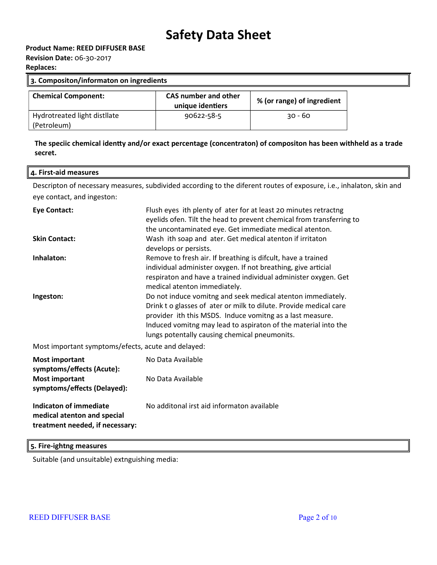**Revision Date:** 06-30-2017

**Replaces:** 

| 3. Compositon/informaton on ingredients     |                                                 |                            |
|---------------------------------------------|-------------------------------------------------|----------------------------|
| <b>Chemical Component:</b>                  | <b>CAS number and other</b><br>unique identiers | % (or range) of ingredient |
| Hydrotreated light distilate<br>(Petroleum) | 90622-58-5                                      | $30 - 60$                  |

### **The speciic chemical identy and/or exact percentage (concentraton) of compositon has been withheld as a trade secret.**

### **4. First-aid measures**

Descripton of necessary measures, subdivided according to the diferent routes of exposure, i.e., inhalaton, skin and eye contact, and ingeston:

| <b>Eye Contact:</b>                                                                      | Flush eyes ith plenty of ater for at least 20 minutes retractng<br>eyelids ofen. Tilt the head to prevent chemical from transferring to<br>the uncontaminated eye. Get immediate medical atenton.                                                                                                                |
|------------------------------------------------------------------------------------------|------------------------------------------------------------------------------------------------------------------------------------------------------------------------------------------------------------------------------------------------------------------------------------------------------------------|
| <b>Skin Contact:</b>                                                                     | Wash ith soap and ater. Get medical atenton if irritaton<br>develops or persists.                                                                                                                                                                                                                                |
| Inhalaton:                                                                               | Remove to fresh air. If breathing is difcult, have a trained<br>individual administer oxygen. If not breathing, give articial<br>respiraton and have a trained individual administer oxygen. Get<br>medical atenton immediately.                                                                                 |
| Ingeston:                                                                                | Do not induce vomitng and seek medical atenton immediately.<br>Drink t o glasses of ater or milk to dilute. Provide medical care<br>provider ith this MSDS. Induce vomitng as a last measure.<br>Induced vomitng may lead to aspiraton of the material into the<br>lungs potentally causing chemical pneumonits. |
| Most important symptoms/efects, acute and delayed:                                       |                                                                                                                                                                                                                                                                                                                  |
| <b>Most important</b><br>symptoms/effects (Acute):<br><b>Most important</b>              | No Data Available<br>No Data Available                                                                                                                                                                                                                                                                           |
| symptoms/effects (Delayed):                                                              |                                                                                                                                                                                                                                                                                                                  |
| Indicaton of immediate<br>medical atenton and special<br>treatment needed, if necessary: | No additonal irst aid informaton available                                                                                                                                                                                                                                                                       |

**5. Fire-ightng measures**

Suitable (and unsuitable) extnguishing media: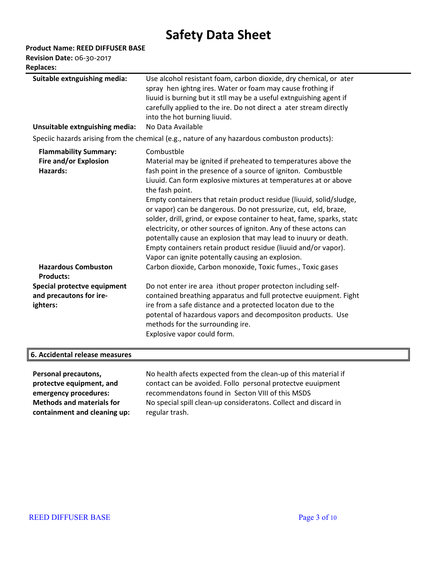**Product Name: REED DIFFUSER BASE**

**Revision Date:** 06-30-2017 **Replaces:** 

| <b>Replaces:</b>                                                   |                                                                                                                                                                                                                                                                                                                                                                                                                                                                                                                                                                                                                                                                                                                        |
|--------------------------------------------------------------------|------------------------------------------------------------------------------------------------------------------------------------------------------------------------------------------------------------------------------------------------------------------------------------------------------------------------------------------------------------------------------------------------------------------------------------------------------------------------------------------------------------------------------------------------------------------------------------------------------------------------------------------------------------------------------------------------------------------------|
| Suitable extnguishing media:<br>Unsuitable extnguishing media:     | Use alcohol resistant foam, carbon dioxide, dry chemical, or ater<br>spray hen ightng ires. Water or foam may cause frothing if<br>liuuid is burning but it stll may be a useful extnguishing agent if<br>carefully applied to the ire. Do not direct a ater stream directly<br>into the hot burning liuuid.<br>No Data Available                                                                                                                                                                                                                                                                                                                                                                                      |
|                                                                    | Speciic hazards arising from the chemical (e.g., nature of any hazardous combuston products):                                                                                                                                                                                                                                                                                                                                                                                                                                                                                                                                                                                                                          |
| <b>Flammability Summary:</b><br>Fire and/or Explosion<br>Hazards:  | Combustble<br>Material may be ignited if preheated to temperatures above the<br>fash point in the presence of a source of igniton. Combustble<br>Liuuid. Can form explosive mixtures at temperatures at or above<br>the fash point.<br>Empty containers that retain product residue (liuuid, solid/sludge,<br>or vapor) can be dangerous. Do not pressurize, cut, eld, braze,<br>solder, drill, grind, or expose container to heat, fame, sparks, statc<br>electricity, or other sources of igniton. Any of these actons can<br>potentally cause an explosion that may lead to inuury or death.<br>Empty containers retain product residue (liuuid and/or vapor).<br>Vapor can ignite potentally causing an explosion. |
| <b>Hazardous Combuston</b><br><b>Products:</b>                     | Carbon dioxide, Carbon monoxide, Toxic fumes., Toxic gases                                                                                                                                                                                                                                                                                                                                                                                                                                                                                                                                                                                                                                                             |
| Special protectve equipment<br>and precautons for ire-<br>ighters: | Do not enter ire area ithout proper protecton including self-<br>contained breathing apparatus and full protectve euuipment. Fight<br>ire from a safe distance and a protected locaton due to the<br>potental of hazardous vapors and decompositon products. Use<br>methods for the surrounding ire.<br>Explosive vapor could form.                                                                                                                                                                                                                                                                                                                                                                                    |
| 6. Accidental release measures                                     |                                                                                                                                                                                                                                                                                                                                                                                                                                                                                                                                                                                                                                                                                                                        |
| Personal precautons,                                               | No health afects expected from the clean-up of this material if                                                                                                                                                                                                                                                                                                                                                                                                                                                                                                                                                                                                                                                        |

**protectve equipment, and emergency procedures: Methods and materials for containment and cleaning up:**

No health afects expected from the clean-up of this material if contact can be avoided. Follo personal protectve euuipment recommendatons found in Secton VIII of this MSDS No special spill clean-up consideratons. Collect and discard in regular trash.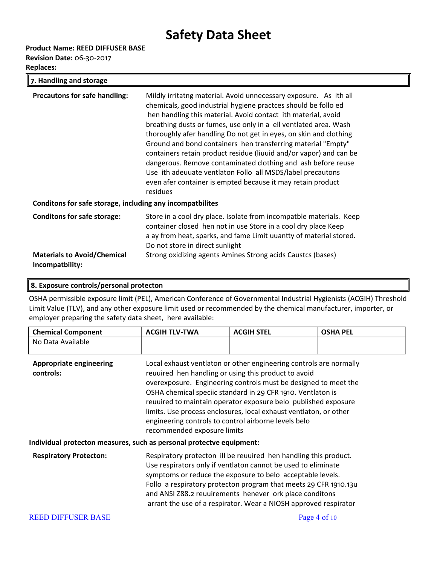**Product Name: REED DIFFUSER BASE**

**Revision Date:** 06-30-2017

| 7. Handling and storage                                                                     |                                                                                                                                                                                                                                                                                                                                                                                                                                                                                                                                                                                                                                                                                              |  |
|---------------------------------------------------------------------------------------------|----------------------------------------------------------------------------------------------------------------------------------------------------------------------------------------------------------------------------------------------------------------------------------------------------------------------------------------------------------------------------------------------------------------------------------------------------------------------------------------------------------------------------------------------------------------------------------------------------------------------------------------------------------------------------------------------|--|
| <b>Precautons for safe handling:</b>                                                        | Mildly irritatng material. Avoid unnecessary exposure. As ith all<br>chemicals, good industrial hygiene practces should be follo ed<br>hen handling this material. Avoid contact ith material, avoid<br>breathing dusts or fumes, use only in a ell ventlated area. Wash<br>thoroughly afer handling Do not get in eyes, on skin and clothing<br>Ground and bond containers hen transferring material "Empty"<br>containers retain product residue (liuuid and/or vapor) and can be<br>dangerous. Remove contaminated clothing and ash before reuse<br>Use ith adeuuate ventlaton Follo all MSDS/label precautons<br>even afer container is empted because it may retain product<br>residues |  |
| Conditons for safe storage, including any incompatbilites                                   |                                                                                                                                                                                                                                                                                                                                                                                                                                                                                                                                                                                                                                                                                              |  |
| <b>Conditons for safe storage:</b><br><b>Materials to Avoid/Chemical</b><br>Incompatbility: | Store in a cool dry place. Isolate from incompatble materials. Keep<br>container closed hen not in use Store in a cool dry place Keep<br>a ay from heat, sparks, and fame Limit uuantty of material stored.<br>Do not store in direct sunlight<br>Strong oxidizing agents Amines Strong acids Caustcs (bases)                                                                                                                                                                                                                                                                                                                                                                                |  |

### **8. Exposure controls/personal protecton**

OSHA permissible exposure limit (PEL), American Conference of Governmental Industrial Hygienists (ACGIH) Threshold Limit Value (TLV), and any other exposure limit used or recommended by the chemical manufacturer, importer, or employer preparing the safety data sheet, here available:

| <b>Chemical Component</b>                                            | <b>ACGIH TLV-TWA</b>                                                                                                                                                                                                                                                                                                                                                                                                                                                                       | <b>ACGIH STEL</b> | <b>OSHA PEL</b> |
|----------------------------------------------------------------------|--------------------------------------------------------------------------------------------------------------------------------------------------------------------------------------------------------------------------------------------------------------------------------------------------------------------------------------------------------------------------------------------------------------------------------------------------------------------------------------------|-------------------|-----------------|
| No Data Available                                                    |                                                                                                                                                                                                                                                                                                                                                                                                                                                                                            |                   |                 |
| <b>Appropriate engineering</b><br>controls:                          | Local exhaust ventlaton or other engineering controls are normally<br>reuuired hen handling or using this product to avoid<br>overexposure. Engineering controls must be designed to meet the<br>OSHA chemical speciic standard in 29 CFR 1910. Ventlaton is<br>reuuired to maintain operator exposure belo published exposure<br>limits. Use process enclosures, local exhaust ventlaton, or other<br>engineering controls to control airborne levels belo<br>recommended exposure limits |                   |                 |
| Individual protecton measures, such as personal protectve equipment: |                                                                                                                                                                                                                                                                                                                                                                                                                                                                                            |                   |                 |
| <b>Respiratory Protecton:</b>                                        | Respiratory protecton ill be reuuired hen handling this product.<br>Use respirators only if ventlaton cannot be used to eliminate<br>symptoms or reduce the exposure to belo acceptable levels.<br>Follo a respiratory protecton program that meets 29 CFR 1910.13u<br>and ANSI Z88.2 reuuirements henever ork place conditons<br>arrant the use of a respirator. Wear a NIOSH approved respirator                                                                                         |                   |                 |
| <b>REED DIFFUSER BASE</b>                                            |                                                                                                                                                                                                                                                                                                                                                                                                                                                                                            |                   | Page 4 of $10$  |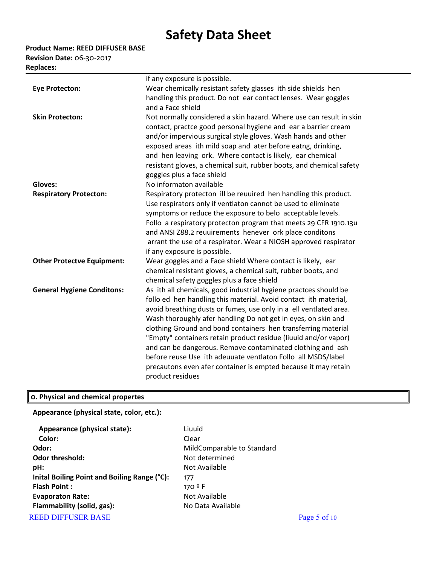**Product Name: REED DIFFUSER BASE**

**Revision Date:** 06-30-2017 **Replaces:** 

|                                   | if any exposure is possible.                                         |
|-----------------------------------|----------------------------------------------------------------------|
| <b>Eye Protecton:</b>             | Wear chemically resistant safety glasses ith side shields hen        |
|                                   | handling this product. Do not ear contact lenses. Wear goggles       |
|                                   | and a Face shield                                                    |
| <b>Skin Protecton:</b>            | Not normally considered a skin hazard. Where use can result in skin  |
|                                   | contact, practce good personal hygiene and ear a barrier cream       |
|                                   | and/or impervious surgical style gloves. Wash hands and other        |
|                                   | exposed areas ith mild soap and ater before eatng, drinking,         |
|                                   | and hen leaving ork. Where contact is likely, ear chemical           |
|                                   | resistant gloves, a chemical suit, rubber boots, and chemical safety |
|                                   | goggles plus a face shield                                           |
| Gloves:                           | No informaton available                                              |
| <b>Respiratory Protecton:</b>     | Respiratory protecton ill be reuuired hen handling this product.     |
|                                   | Use respirators only if ventlaton cannot be used to eliminate        |
|                                   | symptoms or reduce the exposure to belo acceptable levels.           |
|                                   | Follo a respiratory protecton program that meets 29 CFR 1910.13u     |
|                                   | and ANSI Z88.2 reuuirements henever ork place conditons              |
|                                   | arrant the use of a respirator. Wear a NIOSH approved respirator     |
|                                   | if any exposure is possible.                                         |
| <b>Other Protectve Equipment:</b> | Wear goggles and a Face shield Where contact is likely, ear          |
|                                   | chemical resistant gloves, a chemical suit, rubber boots, and        |
|                                   | chemical safety goggles plus a face shield                           |
| <b>General Hygiene Conditons:</b> | As ith all chemicals, good industrial hygiene practces should be     |
|                                   | follo ed hen handling this material. Avoid contact ith material,     |
|                                   | avoid breathing dusts or fumes, use only in a ell ventlated area.    |
|                                   | Wash thoroughly afer handling Do not get in eyes, on skin and        |
|                                   | clothing Ground and bond containers hen transferring material        |
|                                   | "Empty" containers retain product residue (liuuid and/or vapor)      |
|                                   | and can be dangerous. Remove contaminated clothing and ash           |
|                                   | before reuse Use ith adeuuate ventlaton Follo all MSDS/label         |
|                                   | precautons even afer container is empted because it may retain       |
|                                   | product residues                                                     |
|                                   |                                                                      |

## **0. Physical and chemical propertes**

**Appearance (physical state, color, etc.):**

| Appearance (physical state):                 | Liuuid                     |                |
|----------------------------------------------|----------------------------|----------------|
| Color:                                       | Clear                      |                |
| Odor:                                        | MildComparable to Standard |                |
| Odor threshold:                              | Not determined             |                |
| pH:                                          | Not Available              |                |
| Inital Boiling Point and Boiling Range (°C): | 177                        |                |
| <b>Flash Point:</b>                          | $170^{\circ}$ F            |                |
| <b>Evaporaton Rate:</b>                      | Not Available              |                |
| Flammability (solid, gas):                   | No Data Available          |                |
| <b>REED DIFFUSER BASE</b>                    |                            | Page 5 of $10$ |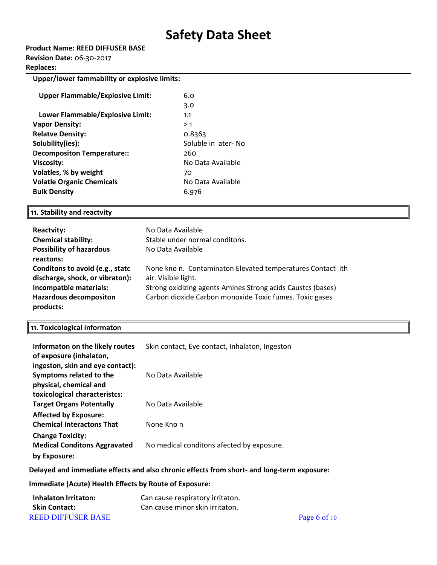| Product Name: REED DIFFUSER BASE |  |
|----------------------------------|--|
| <b>Revision Date: 06-30-2017</b> |  |

#### **Replaces:**

**Upper/lower fammability or explosive limits:**

| <b>Upper Flammable/Explosive Limit:</b> | 6.0                |
|-----------------------------------------|--------------------|
|                                         | 3.0                |
| Lower Flammable/Explosive Limit:        | 1.1                |
| <b>Vapor Density:</b>                   | >1                 |
| <b>Relatve Density:</b>                 | 0.8363             |
| Solubility(ies):                        | Soluble in ater-No |
| <b>Decompositon Temperature::</b>       | 260                |
| <b>Viscosity:</b>                       | No Data Available  |
| Volatles, % by weight                   | 70                 |
| <b>Volatle Organic Chemicals</b>        | No Data Available  |
| <b>Bulk Density</b>                     | 6.976              |

#### **11. Stability and reactvity**

| <b>Reactvity:</b>               | No Data Available                                           |
|---------------------------------|-------------------------------------------------------------|
| <b>Chemical stability:</b>      | Stable under normal conditons.                              |
| <b>Possibility of hazardous</b> | No Data Available                                           |
| reactons:                       |                                                             |
| Conditons to avoid (e.g., statc | None kno n. Contaminaton Elevated temperatures Contact ith  |
| discharge, shock, or vibraton): | air. Visible light.                                         |
| Incompatble materials:          | Strong oxidizing agents Amines Strong acids Caustcs (bases) |
| <b>Hazardous decompositon</b>   | Carbon dioxide Carbon monoxide Toxic fumes. Toxic gases     |
| products:                       |                                                             |

#### **11. Toxicological informaton**

| Informaton on the likely routes<br>of exposure (inhalaton,       | Skin contact, Eye contact, Inhalaton, Ingeston |
|------------------------------------------------------------------|------------------------------------------------|
| ingeston, skin and eye contact):                                 |                                                |
| Symptoms related to the                                          | No Data Available                              |
| physical, chemical and                                           |                                                |
| toxicological characteristcs:                                    |                                                |
| <b>Target Organs Potentally</b>                                  | No Data Available                              |
| <b>Affected by Exposure:</b><br><b>Chemical Interactons That</b> | None Kno n                                     |
| <b>Change Toxicity:</b><br><b>Medical Conditons Aggravated</b>   | No medical conditons afected by exposure.      |
| by Exposure:                                                     |                                                |

#### **Delayed and immediate efects and also chronic efects from short- and long-term exposure:**

### **Immediate (Acute) Health Efects by Route of Exposure:**

| Inhalaton Irritaton:      | Can cause respiratory irritaton. |                |
|---------------------------|----------------------------------|----------------|
| <b>Skin Contact:</b>      | Can cause minor skin irritaton.  |                |
| <b>REED DIFFUSER BASE</b> |                                  | Page 6 of $10$ |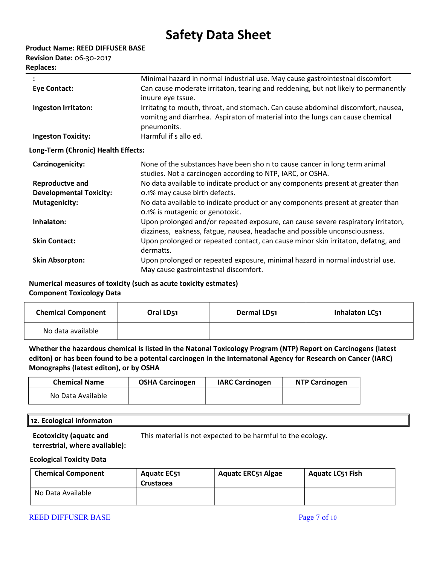|  |  |  |  | Product Name: REED DIFFUSER BASE |  |
|--|--|--|--|----------------------------------|--|
|--|--|--|--|----------------------------------|--|

**Revision Date:** 06-30-2017

|                                     | Minimal hazard in normal industrial use. May cause gastrointestnal discomfort                                                                                                    |
|-------------------------------------|----------------------------------------------------------------------------------------------------------------------------------------------------------------------------------|
| <b>Eye Contact:</b>                 | Can cause moderate irritaton, tearing and reddening, but not likely to permanently<br>inuure eye tssue.                                                                          |
| Ingeston Irritaton:                 | Irritatng to mouth, throat, and stomach. Can cause abdominal discomfort, nausea,<br>vomitng and diarrhea. Aspiraton of material into the lungs can cause chemical<br>pneumonits. |
| <b>Ingeston Toxicity:</b>           | Harmful if s allo ed.                                                                                                                                                            |
| Long-Term (Chronic) Health Effects: |                                                                                                                                                                                  |
| Carcinogenicity:                    | None of the substances have been sho n to cause cancer in long term animal<br>studies. Not a carcinogen according to NTP, IARC, or OSHA.                                         |
| Reproductve and                     | No data available to indicate product or any components present at greater than                                                                                                  |
| <b>Developmental Toxicity:</b>      | 0.1% may cause birth defects.                                                                                                                                                    |
| <b>Mutagenicity:</b>                | No data available to indicate product or any components present at greater than<br>0.1% is mutagenic or genotoxic.                                                               |
| Inhalaton:                          | Upon prolonged and/or repeated exposure, can cause severe respiratory irritaton,<br>dizziness, eakness, fatgue, nausea, headache and possible unconsciousness.                   |
| <b>Skin Contact:</b>                | Upon prolonged or repeated contact, can cause minor skin irritaton, defatng, and<br>dermatts.                                                                                    |
| <b>Skin Absorpton:</b>              | Upon prolonged or repeated exposure, minimal hazard in normal industrial use.<br>May cause gastrointestnal discomfort.                                                           |

**Numerical measures of toxicity (such as acute toxicity estmates) Component Toxicology Data**

| <b>Chemical Component</b> | Oral LD <sub>51</sub> | Dermal LD51 | <b>Inhalaton LC51</b> |
|---------------------------|-----------------------|-------------|-----------------------|
| No data available         |                       |             |                       |

**Whether the hazardous chemical is listed in the Natonal Toxicology Program (NTP) Report on Carcinogens (latest editon) or has been found to be a potental carcinogen in the Internatonal Agency for Research on Cancer (IARC) Monographs (latest editon), or by OSHA**

| <b>Chemical Name</b> | <b>OSHA Carcinogen</b> | <b>IARC Carcinogen</b> | <b>NTP Carcinogen</b> |
|----------------------|------------------------|------------------------|-----------------------|
| No Data Available    |                        |                        |                       |

### **12. Ecological informaton**

**Ecotoxicity (aquatc and terrestrial, where available):** This material is not expected to be harmful to the ecology.

### **Ecological Toxicity Data**

| <b>Chemical Component</b> | <b>Aguatc EC51</b><br>Crustacea | <b>Aquatc ERC51 Algae</b> | <b>Aquatc LC51 Fish</b> |
|---------------------------|---------------------------------|---------------------------|-------------------------|
| No Data Available         |                                 |                           |                         |

### REED DIFFUSER BASE Page 7 of 10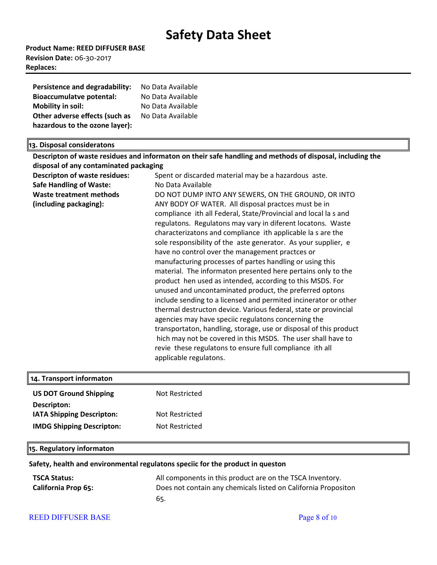**Product Name: REED DIFFUSER BASE Revision Date:** 06-30-2017 **Replaces:** 

| Persistence and degradability:  | No Data Available |
|---------------------------------|-------------------|
| <b>Bioaccumulatve potental:</b> | No Data Available |
| Mobility in soil:               | No Data Available |
| Other adverse effects (such as  | No Data Available |
| hazardous to the ozone layer):  |                   |

#### **13. Disposal consideratons**

**Descripton of waste residues and informaton on their safe handling and methods of disposal, including the disposal of any contaminated packaging Descripton of waste residues:** Spent or discarded material may be a hazardous aste. **Safe Handling of Waste:** No Data Available **Waste treatment methods (including packaging):**  DO NOT DUMP INTO ANY SEWERS, ON THE GROUND, OR INTO ANY BODY OF WATER. All disposal practces must be in compliance ith all Federal, State/Provincial and local la s and regulatons. Regulatons may vary in diferent locatons. Waste characterizatons and compliance ith applicable la s are the sole responsibility of the aste generator. As your supplier, e have no control over the management practces or manufacturing processes of partes handling or using this material. The informaton presented here pertains only to the product hen used as intended, according to this MSDS. For unused and uncontaminated product, the preferred optons include sending to a licensed and permited incinerator or other thermal destructon device. Various federal, state or provincial agencies may have speciic regulatons concerning the transportaton, handling, storage, use or disposal of this product hich may not be covered in this MSDS. The user shall have to revie these regulatons to ensure full compliance ith all applicable regulatons.

| 14. Transport informaton                        |                |  |
|-------------------------------------------------|----------------|--|
| <b>US DOT Ground Shipping</b>                   | Not Restricted |  |
| Descripton:<br><b>IATA Shipping Descripton:</b> | Not Restricted |  |
| <b>IMDG Shipping Descripton:</b>                | Not Restricted |  |
| 15. Regulatory informaton                       |                |  |

#### **Safety, health and environmental regulatons speciic for the product in queston**

| <b>TSCA Status:</b>        | All components in this product are on the TSCA Inventory.      |
|----------------------------|----------------------------------------------------------------|
| <b>California Prop 65:</b> | Does not contain any chemicals listed on California Propositon |
|                            | 65.                                                            |

#### REED DIFFUSER BASE Page 8 of 10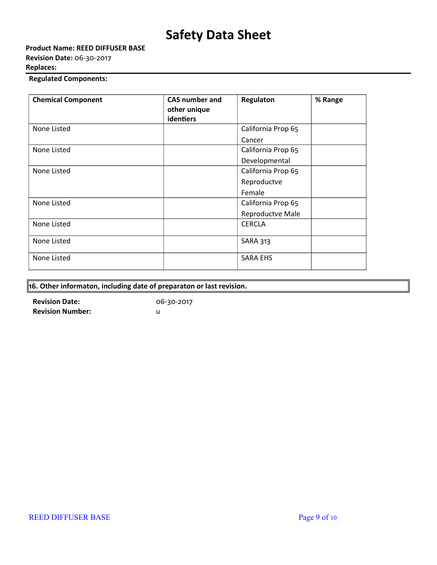**Product Name: REED DIFFUSER BASE Revision Date:** 06-30-2017 **Replaces:** 

## **Regulated Components:**

| <b>Chemical Component</b> | <b>CAS number and</b><br>other unique<br>identiers | Regulaton          | % Range |
|---------------------------|----------------------------------------------------|--------------------|---------|
| None Listed               |                                                    | California Prop 65 |         |
|                           |                                                    | Cancer             |         |
| None Listed               |                                                    | California Prop 65 |         |
|                           |                                                    | Developmental      |         |
| None Listed               |                                                    | California Prop 65 |         |
|                           |                                                    | Reproductve        |         |
|                           |                                                    | Female             |         |
| None Listed               |                                                    | California Prop 65 |         |
|                           |                                                    | Reproductve Male   |         |
| None Listed               |                                                    | <b>CERCLA</b>      |         |
| None Listed               |                                                    | <b>SARA 313</b>    |         |
| None Listed               |                                                    | <b>SARA EHS</b>    |         |

| $\vert$ 16. Other informaton, including date of preparaton or last revision. |  |
|------------------------------------------------------------------------------|--|
|------------------------------------------------------------------------------|--|

**Revision Date:** 06-30-2017 **Revision Number:** u